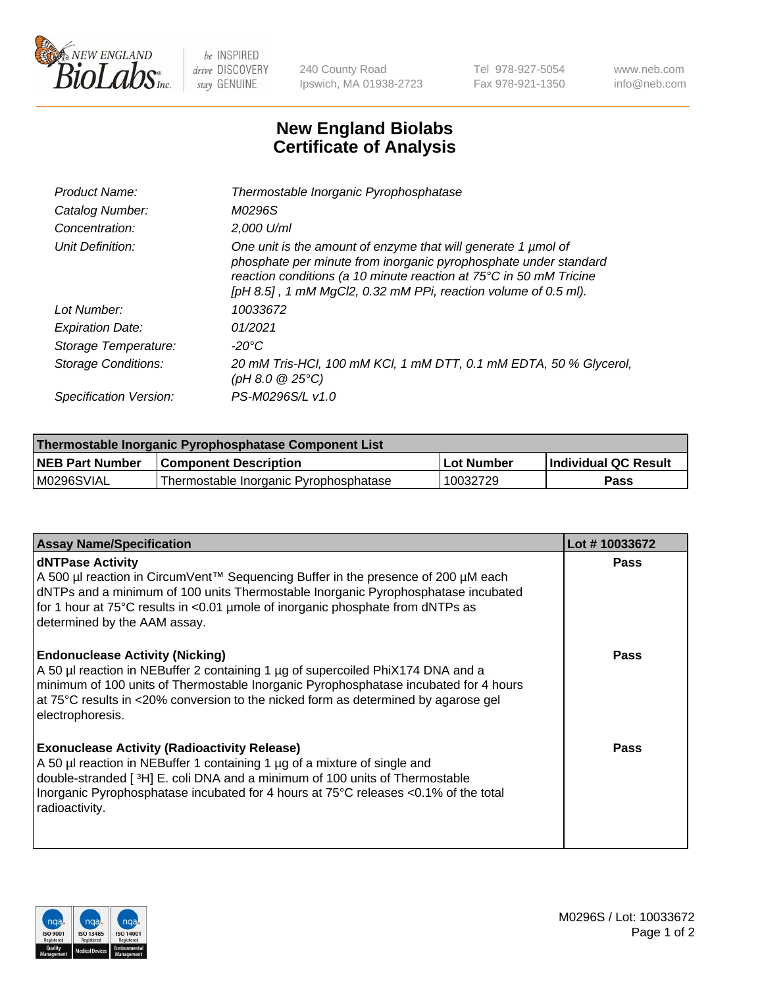

 $be$  INSPIRED drive DISCOVERY stay GENUINE

240 County Road Ipswich, MA 01938-2723 Tel 978-927-5054 Fax 978-921-1350 www.neb.com info@neb.com

## **New England Biolabs Certificate of Analysis**

| Product Name:              | Thermostable Inorganic Pyrophosphatase                                                                                                                                                                                                                                    |
|----------------------------|---------------------------------------------------------------------------------------------------------------------------------------------------------------------------------------------------------------------------------------------------------------------------|
| Catalog Number:            | M0296S                                                                                                                                                                                                                                                                    |
| Concentration:             | 2.000 U/ml                                                                                                                                                                                                                                                                |
| Unit Definition:           | One unit is the amount of enzyme that will generate 1 µmol of<br>phosphate per minute from inorganic pyrophosphate under standard<br>reaction conditions (a 10 minute reaction at 75°C in 50 mM Tricine<br>[pH 8.5], 1 mM MgCl2, 0.32 mM PPi, reaction volume of 0.5 ml). |
| Lot Number:                | 10033672                                                                                                                                                                                                                                                                  |
| <b>Expiration Date:</b>    | 01/2021                                                                                                                                                                                                                                                                   |
| Storage Temperature:       | -20°C                                                                                                                                                                                                                                                                     |
| <b>Storage Conditions:</b> | 20 mM Tris-HCl, 100 mM KCl, 1 mM DTT, 0.1 mM EDTA, 50 % Glycerol,<br>(pH 8.0 $@25°C$ )                                                                                                                                                                                    |
| Specification Version:     | PS-M0296S/L v1.0                                                                                                                                                                                                                                                          |

| Thermostable Inorganic Pyrophosphatase Component List |                                        |            |                             |  |
|-------------------------------------------------------|----------------------------------------|------------|-----------------------------|--|
| <b>NEB Part Number</b>                                | <b>Component Description</b>           | Lot Number | <b>Individual QC Result</b> |  |
| M0296SVIAL                                            | Thermostable Inorganic Pyrophosphatase | 10032729   | <b>Pass</b>                 |  |

| <b>Assay Name/Specification</b>                                                                                                                                                                                                                                                                                             | Lot #10033672 |
|-----------------------------------------------------------------------------------------------------------------------------------------------------------------------------------------------------------------------------------------------------------------------------------------------------------------------------|---------------|
| <b>dNTPase Activity</b><br>A 500 µl reaction in CircumVent™ Sequencing Buffer in the presence of 200 µM each<br>dNTPs and a minimum of 100 units Thermostable Inorganic Pyrophosphatase incubated<br>for 1 hour at 75°C results in <0.01 µmole of inorganic phosphate from dNTPs as<br>determined by the AAM assay.         | <b>Pass</b>   |
| <b>Endonuclease Activity (Nicking)</b><br>A 50 µl reaction in NEBuffer 2 containing 1 µg of supercoiled PhiX174 DNA and a<br>minimum of 100 units of Thermostable Inorganic Pyrophosphatase incubated for 4 hours<br>at 75°C results in <20% conversion to the nicked form as determined by agarose gel<br>electrophoresis. | <b>Pass</b>   |
| <b>Exonuclease Activity (Radioactivity Release)</b><br>A 50 µl reaction in NEBuffer 1 containing 1 µg of a mixture of single and<br>double-stranded [3H] E. coli DNA and a minimum of 100 units of Thermostable<br>Inorganic Pyrophosphatase incubated for 4 hours at 75°C releases <0.1% of the total<br>radioactivity.    | Pass          |